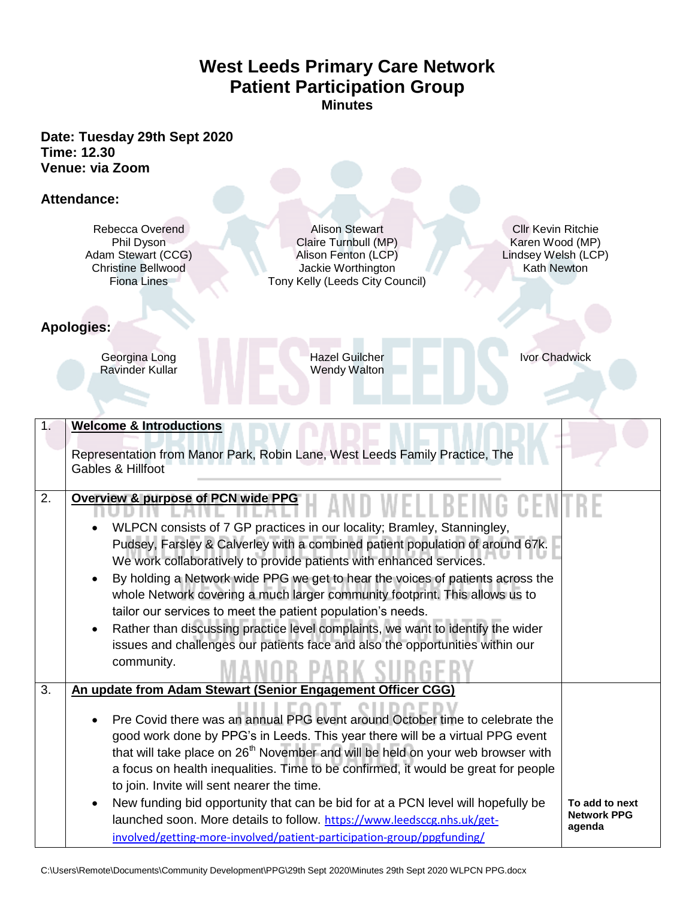## **West Leeds Primary Care Network Patient Participation Group Minutes**

**Date: Tuesday 29th Sept 2020 Time: 12.30 Venue: via Zoom** 

## **Attendance:**

Rebecca Overend Alison Stewart Cllr Kevin Ritchie<br>
Phil Dyson Claire Turnbull (MP) Karen Wood (MP) Phil Dyson Claire Turnbull (MP)<br>
n Stewart (CCG) Alison Fenton (LCP) Adam Stewart (CCG) <br>
Alison Fenton (LCP) Lindsey Welsh (LCP) Lindsey Welsh (LCP) Christine Bellwood Jackie Worthington Kath Newton Jackie Worthington Fiona Lines Tony Kelly (Leeds City Council)

**Apologies:** 

Georgina Long Hazel Guilcher Ivor Chadwick<br>Ravinder Kullar Ivor Chadwick<br>Nendy Walton Ravinder Kullar

| 1 <sub>1</sub> | <b>Welcome &amp; Introductions</b>                                                                                                                                                                                                                                                                                                                                                                                                                                                                                                                                                                                                                |                              |
|----------------|---------------------------------------------------------------------------------------------------------------------------------------------------------------------------------------------------------------------------------------------------------------------------------------------------------------------------------------------------------------------------------------------------------------------------------------------------------------------------------------------------------------------------------------------------------------------------------------------------------------------------------------------------|------------------------------|
|                | Representation from Manor Park, Robin Lane, West Leeds Family Practice, The<br>Gables & Hillfoot                                                                                                                                                                                                                                                                                                                                                                                                                                                                                                                                                  |                              |
| 2.             | Overview & purpose of PCN wide PPG                                                                                                                                                                                                                                                                                                                                                                                                                                                                                                                                                                                                                |                              |
|                | WLPCN consists of 7 GP practices in our locality; Bramley, Stanningley,<br>Pudsey, Farsley & Calverley with a combined patient population of around 67k.<br>We work collaboratively to provide patients with enhanced services.<br>By holding a Network wide PPG we get to hear the voices of patients across the<br>whole Network covering a much larger community footprint. This allows us to<br>tailor our services to meet the patient population's needs.<br>Rather than discussing practice level complaints, we want to identify the wider<br>issues and challenges our patients face and also the opportunities within our<br>community. |                              |
| 3.             | An update from Adam Stewart (Senior Engagement Officer CGG)                                                                                                                                                                                                                                                                                                                                                                                                                                                                                                                                                                                       |                              |
|                | Pre Covid there was an annual PPG event around October time to celebrate the<br>good work done by PPG's in Leeds. This year there will be a virtual PPG event<br>that will take place on 26 <sup>th</sup> November and will be held on your web browser with<br>a focus on health inequalities. Time to be confirmed, it would be great for people<br>to join. Invite will sent nearer the time.<br>New funding bid opportunity that can be bid for at a PCN level will hopefully be                                                                                                                                                              | To add to next               |
|                | launched soon. More details to follow. https://www.leedsccg.nhs.uk/get-<br>involved/getting-more-involved/patient-participation-group/ppgfunding/                                                                                                                                                                                                                                                                                                                                                                                                                                                                                                 | <b>Network PPG</b><br>agenda |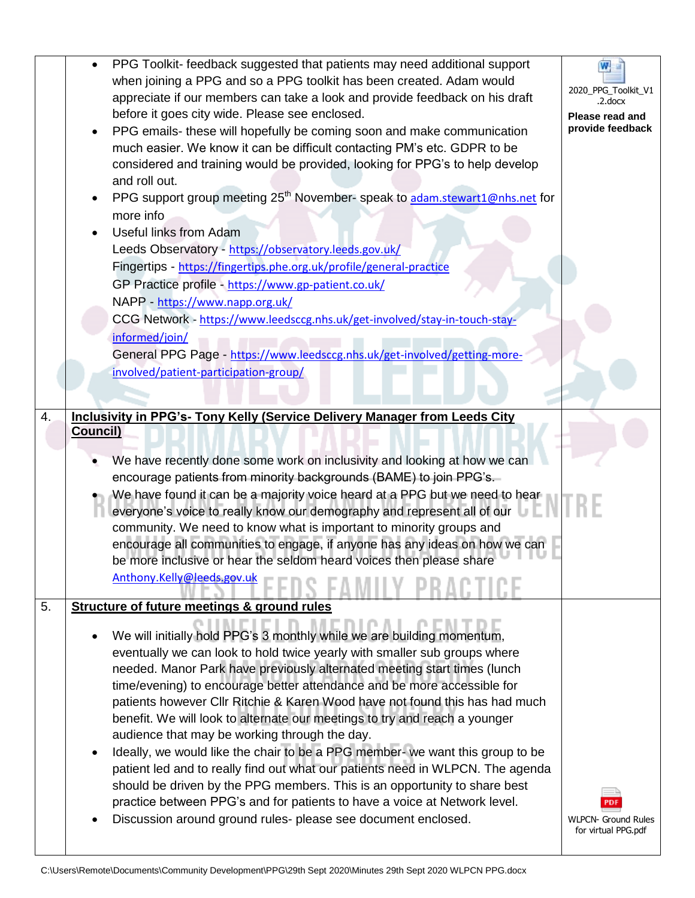|    | PPG Toolkit- feedback suggested that patients may need additional support<br>$\bullet$<br>when joining a PPG and so a PPG toolkit has been created. Adam would<br>appreciate if our members can take a look and provide feedback on his draft<br>before it goes city wide. Please see enclosed.<br>PPG emails- these will hopefully be coming soon and make communication<br>$\bullet$<br>much easier. We know it can be difficult contacting PM's etc. GDPR to be<br>considered and training would be provided, looking for PPG's to help develop<br>and roll out.<br>PPG support group meeting 25 <sup>th</sup> November- speak to adam.stewart1@nhs.net for<br>٠<br>more info<br><b>Useful links from Adam</b><br>Leeds Observatory - https://observatory.leeds.gov.uk/<br>Fingertips - https://fingertips.phe.org.uk/profile/general-practice<br>GP Practice profile - https://www.gp-patient.co.uk/<br>NAPP - https://www.napp.org.uk/<br>CCG Network - https://www.leedsccg.nhs.uk/get-involved/stay-in-touch-stay-<br>informed/join/<br>General PPG Page - https://www.leedsccg.nhs.uk/get-involved/getting-more-<br>involved/patient-participation-group/ | W<br>2020_PPG_Toolkit_V1<br>.2.docx<br>Please read and<br>provide feedback |
|----|-------------------------------------------------------------------------------------------------------------------------------------------------------------------------------------------------------------------------------------------------------------------------------------------------------------------------------------------------------------------------------------------------------------------------------------------------------------------------------------------------------------------------------------------------------------------------------------------------------------------------------------------------------------------------------------------------------------------------------------------------------------------------------------------------------------------------------------------------------------------------------------------------------------------------------------------------------------------------------------------------------------------------------------------------------------------------------------------------------------------------------------------------------------------|----------------------------------------------------------------------------|
| 4. | <b>Inclusivity in PPG's- Tony Kelly (Service Delivery Manager from Leeds City</b>                                                                                                                                                                                                                                                                                                                                                                                                                                                                                                                                                                                                                                                                                                                                                                                                                                                                                                                                                                                                                                                                                 |                                                                            |
|    | Council)<br>We have recently done some work on inclusivity and looking at how we can<br>encourage patients from minority backgrounds (BAME) to join PPG's.<br>We have found it can be a majority voice heard at a PPG but we need to hear<br>everyone's voice to really know our demography and represent all of our<br>community. We need to know what is important to minority groups and<br>encourage all communities to engage, if anyone has any ideas on how we can<br>be more inclusive or hear the seldom heard voices then please share<br>Anthony.Kelly@leeds.gov.uk                                                                                                                                                                                                                                                                                                                                                                                                                                                                                                                                                                                    |                                                                            |
| 5. | <b>Structure of future meetings &amp; ground rules</b>                                                                                                                                                                                                                                                                                                                                                                                                                                                                                                                                                                                                                                                                                                                                                                                                                                                                                                                                                                                                                                                                                                            |                                                                            |
|    | We will initially hold PPG's 3 monthly while we are building momentum,<br>eventually we can look to hold twice yearly with smaller sub groups where<br>needed. Manor Park have previously alternated meeting start times (lunch<br>time/evening) to encourage better attendance and be more accessible for<br>patients however Cllr Ritchie & Karen Wood have not found this has had much<br>benefit. We will look to alternate our meetings to try and reach a younger<br>audience that may be working through the day.<br>Ideally, we would like the chair to be a PPG member- we want this group to be<br>٠<br>patient led and to really find out what our patients need in WLPCN. The agenda<br>should be driven by the PPG members. This is an opportunity to share best<br>practice between PPG's and for patients to have a voice at Network level.<br>Discussion around ground rules- please see document enclosed.                                                                                                                                                                                                                                       | <b>WLPCN- Ground Rules</b><br>for virtual PPG.pdf                          |